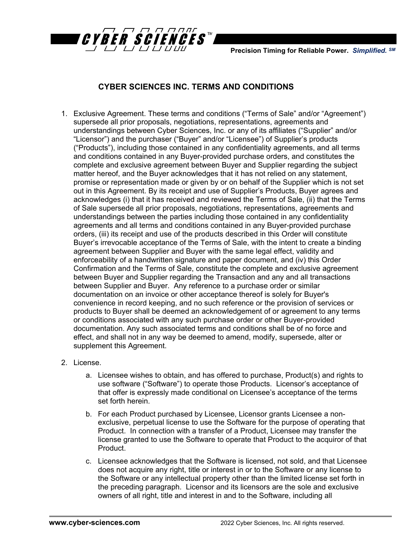

## **CYBER SCIENCES INC. TERMS AND CONDITIONS**

- 1. Exclusive Agreement. These terms and conditions ("Terms of Sale" and/or "Agreement") supersede all prior proposals, negotiations, representations, agreements and understandings between Cyber Sciences, Inc. or any of its affiliates ("Supplier" and/or "Licensor") and the purchaser ("Buyer" and/or "Licensee") of Supplier's products ("Products"), including those contained in any confidentiality agreements, and all terms and conditions contained in any Buyer-provided purchase orders, and constitutes the complete and exclusive agreement between Buyer and Supplier regarding the subject matter hereof, and the Buyer acknowledges that it has not relied on any statement, promise or representation made or given by or on behalf of the Supplier which is not set out in this Agreement. By its receipt and use of Supplier's Products, Buyer agrees and acknowledges (i) that it has received and reviewed the Terms of Sale, (ii) that the Terms of Sale supersede all prior proposals, negotiations, representations, agreements and understandings between the parties including those contained in any confidentiality agreements and all terms and conditions contained in any Buyer-provided purchase orders, (iii) its receipt and use of the products described in this Order will constitute Buyer's irrevocable acceptance of the Terms of Sale, with the intent to create a binding agreement between Supplier and Buyer with the same legal effect, validity and enforceability of a handwritten signature and paper document, and (iv) this Order Confirmation and the Terms of Sale, constitute the complete and exclusive agreement between Buyer and Supplier regarding the Transaction and any and all transactions between Supplier and Buyer. Any reference to a purchase order or similar documentation on an invoice or other acceptance thereof is solely for Buyer's convenience in record keeping, and no such reference or the provision of services or products to Buyer shall be deemed an acknowledgement of or agreement to any terms or conditions associated with any such purchase order or other Buyer-provided documentation. Any such associated terms and conditions shall be of no force and effect, and shall not in any way be deemed to amend, modify, supersede, alter or supplement this Agreement.
- 2. License.
	- a. Licensee wishes to obtain, and has offered to purchase, Product(s) and rights to use software ("Software") to operate those Products. Licensor's acceptance of that offer is expressly made conditional on Licensee's acceptance of the terms set forth herein.
	- b. For each Product purchased by Licensee, Licensor grants Licensee a nonexclusive, perpetual license to use the Software for the purpose of operating that Product. In connection with a transfer of a Product, Licensee may transfer the license granted to use the Software to operate that Product to the acquiror of that Product.
	- c. Licensee acknowledges that the Software is licensed, not sold, and that Licensee does not acquire any right, title or interest in or to the Software or any license to the Software or any intellectual property other than the limited license set forth in the preceding paragraph. Licensor and its licensors are the sole and exclusive owners of all right, title and interest in and to the Software, including all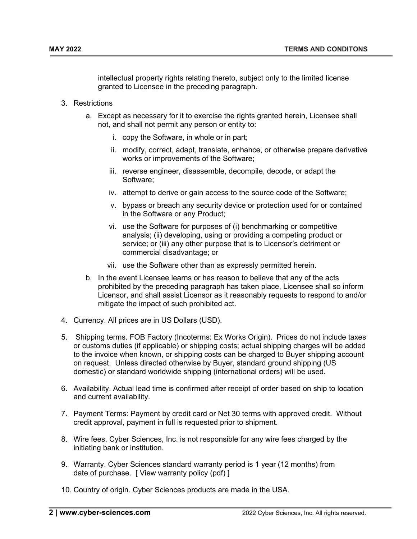intellectual property rights relating thereto, subject only to the limited license granted to Licensee in the preceding paragraph.

- 3. Restrictions
	- a. Except as necessary for it to exercise the rights granted herein, Licensee shall not, and shall not permit any person or entity to:
		- i. copy the Software, in whole or in part;
		- ii. modify, correct, adapt, translate, enhance, or otherwise prepare derivative works or improvements of the Software;
		- iii. reverse engineer, disassemble, decompile, decode, or adapt the Software;
		- iv. attempt to derive or gain access to the source code of the Software;
		- v. bypass or breach any security device or protection used for or contained in the Software or any Product;
		- vi. use the Software for purposes of (i) benchmarking or competitive analysis; (ii) developing, using or providing a competing product or service; or (iii) any other purpose that is to Licensor's detriment or commercial disadvantage; or
		- vii. use the Software other than as expressly permitted herein.
	- b. In the event Licensee learns or has reason to believe that any of the acts prohibited by the preceding paragraph has taken place, Licensee shall so inform Licensor, and shall assist Licensor as it reasonably requests to respond to and/or mitigate the impact of such prohibited act.
- 4. Currency. All prices are in US Dollars (USD).
- 5. Shipping terms. FOB Factory (Incoterms: Ex Works Origin). Prices do not include taxes or customs duties (if applicable) or shipping costs; actual shipping charges will be added to the invoice when known, or shipping costs can be charged to Buyer shipping account on request. Unless directed otherwise by Buyer, standard ground shipping (US domestic) or standard worldwide shipping (international orders) will be used.
- 6. Availability. Actual lead time is confirmed after receipt of order based on ship to location and current availability.
- 7. Payment Terms: Payment by credit card or Net 30 terms with approved credit. Without credit approval, payment in full is requested prior to shipment.
- 8. Wire fees. Cyber Sciences, Inc. is not responsible for any wire fees charged by the initiating bank or institution.
- 9. Warranty. Cyber Sciences standard warranty period is 1 year (12 months) from date of purchase. [ View warranty policy (pdf) ]
- 10. Country of origin. Cyber Sciences products are made in the USA.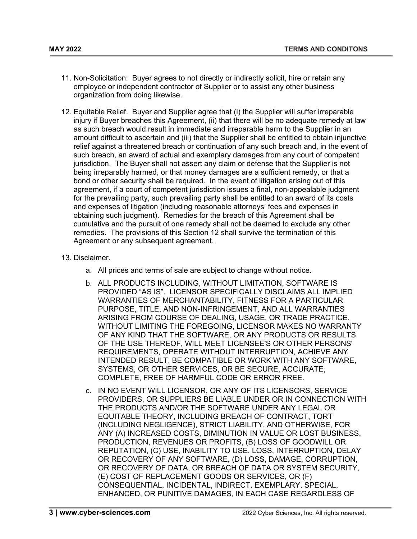- 11. Non-Solicitation: Buyer agrees to not directly or indirectly solicit, hire or retain any employee or independent contractor of Supplier or to assist any other business organization from doing likewise.
- 12. Equitable Relief. Buyer and Supplier agree that (i) the Supplier will suffer irreparable injury if Buyer breaches this Agreement, (ii) that there will be no adequate remedy at law as such breach would result in immediate and irreparable harm to the Supplier in an amount difficult to ascertain and (iii) that the Supplier shall be entitled to obtain injunctive relief against a threatened breach or continuation of any such breach and, in the event of such breach, an award of actual and exemplary damages from any court of competent jurisdiction. The Buyer shall not assert any claim or defense that the Supplier is not being irreparably harmed, or that money damages are a sufficient remedy, or that a bond or other security shall be required. In the event of litigation arising out of this agreement, if a court of competent jurisdiction issues a final, non-appealable judgment for the prevailing party, such prevailing party shall be entitled to an award of its costs and expenses of litigation (including reasonable attorneys' fees and expenses in obtaining such judgment). Remedies for the breach of this Agreement shall be cumulative and the pursuit of one remedy shall not be deemed to exclude any other remedies. The provisions of this Section 12 shall survive the termination of this Agreement or any subsequent agreement.

## 13. Disclaimer.

- a. All prices and terms of sale are subject to change without notice.
- b. ALL PRODUCTS INCLUDING, WITHOUT LIMITATION, SOFTWARE IS PROVIDED "AS IS". LICENSOR SPECIFICALLY DISCLAIMS ALL IMPLIED WARRANTIES OF MERCHANTABILITY, FITNESS FOR A PARTICULAR PURPOSE, TITLE, AND NON-INFRINGEMENT, AND ALL WARRANTIES ARISING FROM COURSE OF DEALING, USAGE, OR TRADE PRACTICE. WITHOUT LIMITING THE FOREGOING, LICENSOR MAKES NO WARRANTY OF ANY KIND THAT THE SOFTWARE, OR ANY PRODUCTS OR RESULTS OF THE USE THEREOF, WILL MEET LICENSEE'S OR OTHER PERSONS' REQUIREMENTS, OPERATE WITHOUT INTERRUPTION, ACHIEVE ANY INTENDED RESULT, BE COMPATIBLE OR WORK WITH ANY SOFTWARE, SYSTEMS, OR OTHER SERVICES, OR BE SECURE, ACCURATE, COMPLETE, FREE OF HARMFUL CODE OR ERROR FREE.
- c. IN NO EVENT WILL LICENSOR, OR ANY OF ITS LICENSORS, SERVICE PROVIDERS, OR SUPPLIERS BE LIABLE UNDER OR IN CONNECTION WITH THE PRODUCTS AND/OR THE SOFTWARE UNDER ANY LEGAL OR EQUITABLE THEORY, INCLUDING BREACH OF CONTRACT, TORT (INCLUDING NEGLIGENCE), STRICT LIABILITY, AND OTHERWISE, FOR ANY (A) INCREASED COSTS, DIMINUTION IN VALUE OR LOST BUSINESS, PRODUCTION, REVENUES OR PROFITS, (B) LOSS OF GOODWILL OR REPUTATION, (C) USE, INABILITY TO USE, LOSS, INTERRUPTION, DELAY OR RECOVERY OF ANY SOFTWARE, (D) LOSS, DAMAGE, CORRUPTION, OR RECOVERY OF DATA, OR BREACH OF DATA OR SYSTEM SECURITY, (E) COST OF REPLACEMENT GOODS OR SERVICES, OR (F) CONSEQUENTIAL, INCIDENTAL, INDIRECT, EXEMPLARY, SPECIAL, ENHANCED, OR PUNITIVE DAMAGES, IN EACH CASE REGARDLESS OF